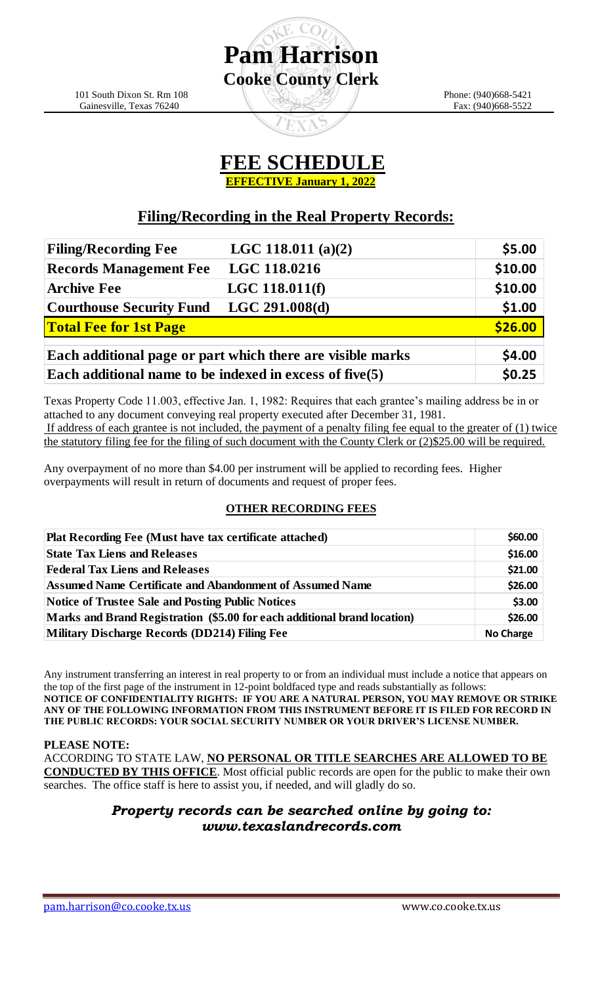

**Pam Harrison**

**Cooke County Clerk**

### **Filing/Recording in the Real Property Records:**

| <b>Filing/Recording Fee</b>                                | LGC 118.011 (a)(2) | \$5.00  |
|------------------------------------------------------------|--------------------|---------|
| <b>Records Management Fee</b>                              | LGC 118.0216       | \$10.00 |
| <b>Archive Fee</b>                                         | LGC 118.011(f)     | \$10.00 |
| <b>Courthouse Security Fund</b>                            | LGC 291.008(d)     | \$1.00  |
| <b>Total Fee for 1st Page</b>                              |                    | \$26.00 |
| Each additional page or part which there are visible marks |                    | \$4.00  |
| Each additional name to be indexed in excess of five $(5)$ |                    | \$0.25  |

Texas Property Code 11.003, effective Jan. 1, 1982: Requires that each grantee's mailing address be in or attached to any document conveying real property executed after December 31, 1981. If address of each grantee is not included, the payment of a penalty filing fee equal to the greater of (1) twice the statutory filing fee for the filing of such document with the County Clerk or (2)\$25.00 will be required.

Any overpayment of no more than \$4.00 per instrument will be applied to recording fees. Higher overpayments will result in return of documents and request of proper fees.

#### **OTHER RECORDING FEES**

| <b>Plat Recording Fee (Must have tax certificate attached)</b>           | \$60.00          |
|--------------------------------------------------------------------------|------------------|
| <b>State Tax Liens and Releases</b>                                      | \$16.00          |
| <b>Federal Tax Liens and Releases</b>                                    | \$21.00          |
| Assumed Name Certificate and Abandonment of Assumed Name                 | \$26.00          |
| Notice of Trustee Sale and Posting Public Notices                        | \$3.00           |
| Marks and Brand Registration (\$5.00 for each additional brand location) |                  |
| Military Discharge Records (DD214) Filing Fee                            | <b>No Charge</b> |

Any instrument transferring an interest in real property to or from an individual must include a notice that appears on the top of the first page of the instrument in 12-point boldfaced type and reads substantially as follows: **NOTICE OF CONFIDENTIALITY RIGHTS: IF YOU ARE A NATURAL PERSON, YOU MAY REMOVE OR STRIKE ANY OF THE FOLLOWING INFORMATION FROM THIS INSTRUMENT BEFORE IT IS FILED FOR RECORD IN THE PUBLIC RECORDS: YOUR SOCIAL SECURITY NUMBER OR YOUR DRIVER'S LICENSE NUMBER.** 

**PLEASE NOTE:**

ACCORDING TO STATE LAW, **NO PERSONAL OR TITLE SEARCHES ARE ALLOWED TO BE** 

**CONDUCTED BY THIS OFFICE**. Most official public records are open for the public to make their own searches. The office staff is here to assist you, if needed, and will gladly do so.

### *Property records can be searched online by going to: www.texaslandrecords.com*